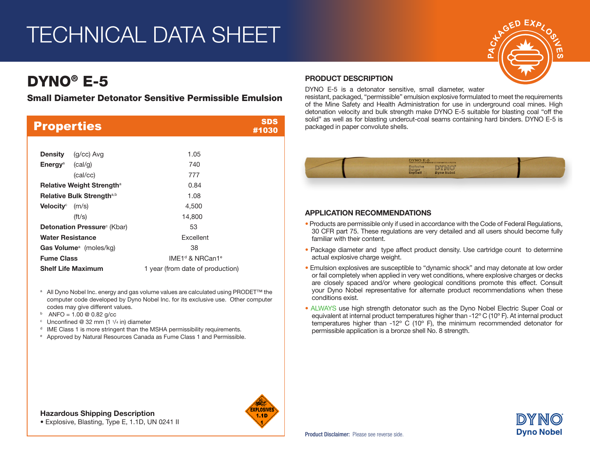## TECHNICAL DATA SHEET

## DYNO® E-5

Small Diameter Detonator Sensitive Permissible Emulsion

| <b>Properties</b>                     | SDS<br>#1030                            |
|---------------------------------------|-----------------------------------------|
|                                       |                                         |
| <b>Density</b><br>(g/cc) Avg          | 1.05                                    |
| Energy <sup>a</sup><br>(cal/g)        | 740                                     |
| (cal/cc)                              | 777                                     |
| <b>Relative Weight Strengtha</b>      | 0.84                                    |
| Relative Bulk Strength <sup>a,b</sup> | 1.08                                    |
| <b>Velocity</b> $(m/s)$               | 4,500                                   |
| $({\rm ft/s})$                        | 14,800                                  |
| <b>Detonation Pressure</b> (Kbar)     | 53                                      |
| <b>Water Resistance</b>               | <b>Fxcellent</b>                        |
| Gas Volume <sup>a</sup> (moles/kg)    | 38                                      |
| <b>Fume Class</b>                     | IMF1 <sup>d</sup> & NRCan1 <sup>e</sup> |
| <b>Shelf Life Maximum</b>             | 1 year (from date of production)        |

- <sup>a</sup> All Dyno Nobel Inc. energy and gas volume values are calculated using PRODET™ the computer code developed by Dyno Nobel Inc. for its exclusive use. Other computer codes may give different values.
- 
- b ANFO = 1.00 @ 0.82 g/cc<br>
<sup>c</sup> Unconfined @ 32 mm (1  $1/4$  in) diameter
- <sup>d</sup> IME Class 1 is more stringent than the MSHA permissibility requirements.
- <sup>e</sup> Approved by Natural Resources Canada as Fume Class 1 and Permissible.

#### PRODUCT DESCRIPTION

DYNO E-5 is a detonator sensitive, small diameter, water

resistant, packaged, "permissible" emulsion explosive formulated to meet the requirements of the Mine Safety and Health Administration for use in underground coal mines. High detonation velocity and bulk strength make DYNO E-5 suitable for blasting coal "off the solid" as well as for blasting undercut-coal seams containing hard binders. DYNO E-5 is packaged in paper convolute shells.



#### APPLICATION RECOMMENDATIONS

- Products are permissible only if used in accordance with the Code of Federal Regulations, 30 CFR part 75. These regulations are very detailed and all users should become fully familiar with their content.
- Package diameter and type affect product density. Use cartridge count to determine actual explosive charge weight.
- Emulsion explosives are susceptible to "dynamic shock" and may detonate at low order or fail completely when applied in very wet conditions, where explosive charges or decks are closely spaced and/or where geological conditions promote this effect. Consult your Dyno Nobel representative for alternate product recommendations when these conditions exist.
- ALWAYS use high strength detonator such as the Dyno Nobel Electric Super Coal or equivalent at internal product temperatures higher than -12º C (10º F). At internal product temperatures higher than -12º C (10º F), the minimum recommended detonator for permissible application is a bronze shell No. 8 strength.







<u>ლ</u>

• Explosive, Blasting, Type E, 1.1D, UN 0241 II